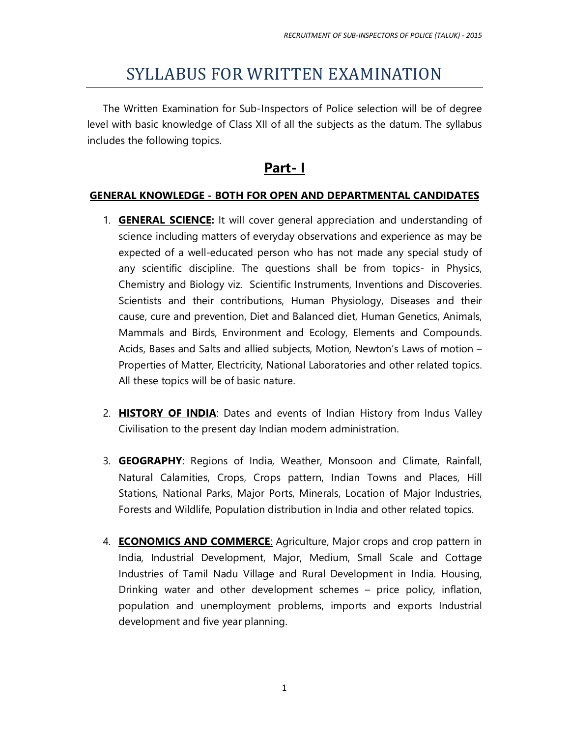# SYLLABUS FOR WRITTEN EXAMINATION

The Written Examination for Sub-Inspectors of Police selection will be of degree level with basic knowledge of Class XII of all the subjects as the datum. The syllabus includes the following topics.

### **Part- I**

#### **GENERAL KNOWLEDGE - BOTH FOR OPEN AND DEPARTMENTAL CANDIDATES**

- 1. **GENERAL SCIENCE:** It will cover general appreciation and understanding of science including matters of everyday observations and experience as may be expected of a well-educated person who has not made any special study of any scientific discipline. The questions shall be from topics- in Physics, Chemistry and Biology viz. Scientific Instruments, Inventions and Discoveries. Scientists and their contributions, Human Physiology, Diseases and their cause, cure and prevention, Diet and Balanced diet, Human Genetics, Animals, Mammals and Birds, Environment and Ecology, Elements and Compounds. Acids, Bases and Salts and allied subjects, Motion, Newton's Laws of motion – Properties of Matter, Electricity, National Laboratories and other related topics. All these topics will be of basic nature.
- 2. **HISTORY OF INDIA**: Dates and events of Indian History from Indus Valley Civilisation to the present day Indian modern administration.
- 3. **GEOGRAPHY**: Regions of India, Weather, Monsoon and Climate, Rainfall, Natural Calamities, Crops, Crops pattern, Indian Towns and Places, Hill Stations, National Parks, Major Ports, Minerals, Location of Major Industries, Forests and Wildlife, Population distribution in India and other related topics.
- 4. **ECONOMICS AND COMMERCE**: Agriculture, Major crops and crop pattern in India, Industrial Development, Major, Medium, Small Scale and Cottage Industries of Tamil Nadu Village and Rural Development in India. Housing, Drinking water and other development schemes – price policy, inflation, population and unemployment problems, imports and exports Industrial development and five year planning.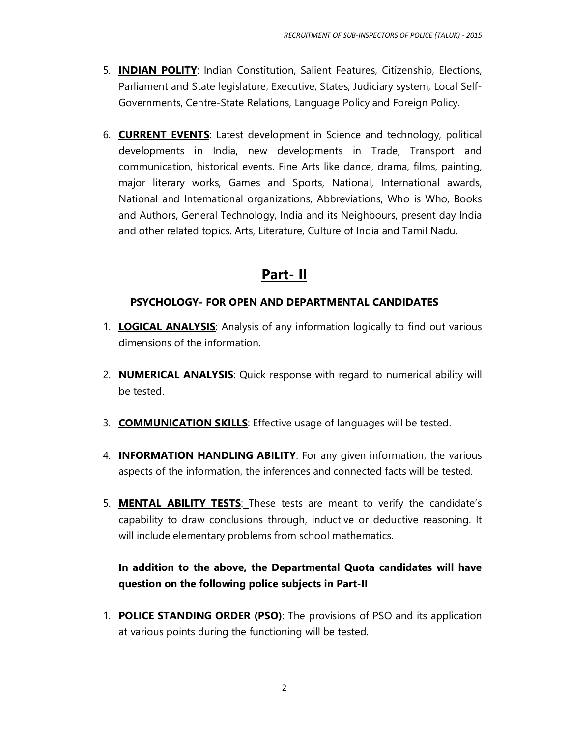- 5. **INDIAN POLITY**: Indian Constitution, Salient Features, Citizenship, Elections, Parliament and State legislature, Executive, States, Judiciary system, Local Self-Governments, Centre-State Relations, Language Policy and Foreign Policy.
- 6. **CURRENT EVENTS**: Latest development in Science and technology, political developments in India, new developments in Trade, Transport and communication, historical events. Fine Arts like dance, drama, films, painting, major literary works, Games and Sports, National, International awards, National and International organizations, Abbreviations, Who is Who, Books and Authors, General Technology, India and its Neighbours, present day India and other related topics. Arts, Literature, Culture of India and Tamil Nadu.

## **Part- II**

### **PSYCHOLOGY- FOR OPEN AND DEPARTMENTAL CANDIDATES**

- 1. **LOGICAL ANALYSIS**: Analysis of any information logically to find out various dimensions of the information.
- 2. **NUMERICAL ANALYSIS**: Quick response with regard to numerical ability will be tested.
- 3. **COMMUNICATION SKILLS**: Effective usage of languages will be tested.
- 4. **INFORMATION HANDLING ABILITY**: For any given information, the various aspects of the information, the inferences and connected facts will be tested.
- 5. **MENTAL ABILITY TESTS**: These tests are meant to verify the candidate's capability to draw conclusions through, inductive or deductive reasoning. It will include elementary problems from school mathematics.

### **In addition to the above, the Departmental Quota candidates will have question on the following police subjects in Part-II**

1. **POLICE STANDING ORDER (PSO)**: The provisions of PSO and its application at various points during the functioning will be tested.